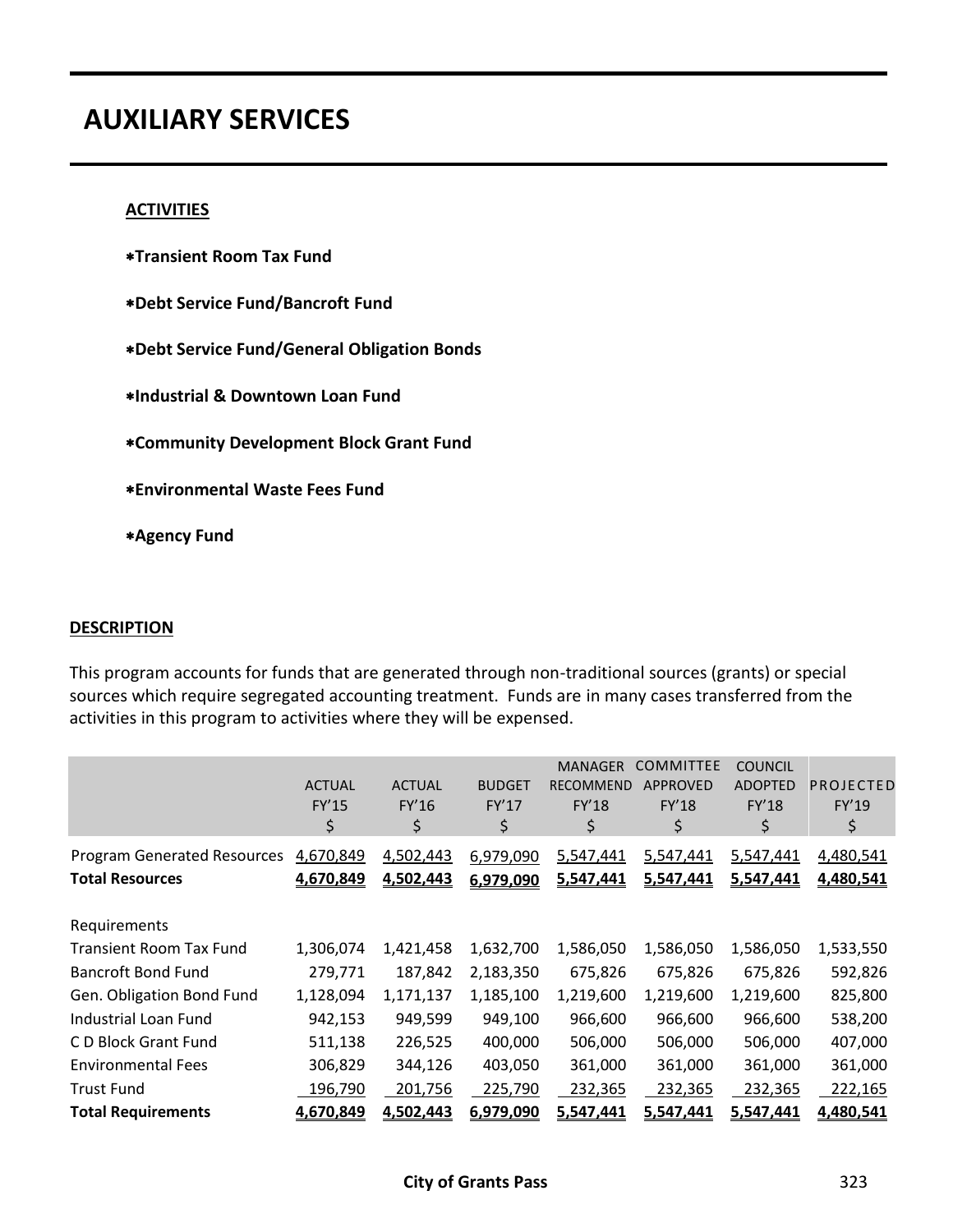# **AUXILIARY SERVICES**

#### **ACTIVITIES**

- **Transient Room Tax Fund**
- **Debt Service Fund/Bancroft Fund**
- **Debt Service Fund/General Obligation Bonds**
- **Industrial & Downtown Loan Fund**
- **Community Development Block Grant Fund**
- **Environmental Waste Fees Fund**
- **Agency Fund**

#### **DESCRIPTION**

This program accounts for funds that are generated through non-traditional sources (grants) or special sources which require segregated accounting treatment. Funds are in many cases transferred from the activities in this program to activities where they will be expensed.

|                                                              | <b>ACTUAL</b><br><b>FY'15</b><br>\$ | <b>ACTUAL</b><br>FY'16<br>\$ | <b>BUDGET</b><br><b>FY'17</b><br>\$ | <b>MANAGER</b><br><b>RECOMMEND</b><br>FY'18<br>\$ | <b>COMMITTEE</b><br><b>APPROVED</b><br><b>FY'18</b><br>\$ | <b>COUNCIL</b><br><b>ADOPTED</b><br><b>FY'18</b><br>\$ | PROJECTED<br>FY'19<br>\$ |
|--------------------------------------------------------------|-------------------------------------|------------------------------|-------------------------------------|---------------------------------------------------|-----------------------------------------------------------|--------------------------------------------------------|--------------------------|
| <b>Program Generated Resources</b><br><b>Total Resources</b> | 4,670,849<br>4,670,849              | 4,502,443<br>4,502,443       | 6,979,090<br>6,979,090              | 5,547,441<br>5,547,441                            | 5,547,441<br>5,547,441                                    | 5,547,441<br>5,547,441                                 | 4,480,541<br>4,480,541   |
| Requirements                                                 |                                     |                              |                                     |                                                   |                                                           |                                                        |                          |
| <b>Transient Room Tax Fund</b>                               | 1,306,074                           | 1,421,458                    | 1,632,700                           | 1,586,050                                         | 1,586,050                                                 | 1,586,050                                              | 1,533,550                |
| <b>Bancroft Bond Fund</b>                                    | 279,771                             | 187,842                      | 2,183,350                           | 675,826                                           | 675,826                                                   | 675,826                                                | 592,826                  |
| Gen. Obligation Bond Fund                                    | 1,128,094                           | 1,171,137                    | 1,185,100                           | 1,219,600                                         | 1,219,600                                                 | 1,219,600                                              | 825,800                  |
| <b>Industrial Loan Fund</b>                                  | 942,153                             | 949,599                      | 949,100                             | 966,600                                           | 966,600                                                   | 966,600                                                | 538,200                  |
| C D Block Grant Fund                                         | 511,138                             | 226,525                      | 400,000                             | 506,000                                           | 506,000                                                   | 506,000                                                | 407,000                  |
| <b>Environmental Fees</b>                                    | 306,829                             | 344,126                      | 403,050                             | 361,000                                           | 361,000                                                   | 361,000                                                | 361,000                  |
| <b>Trust Fund</b>                                            | 196,790                             | 201,756                      | 225,790                             | 232,365                                           | 232,365                                                   | 232,365                                                | 222,165                  |
| <b>Total Requirements</b>                                    | 4,670,849                           | 4,502,443                    | 6,979,090                           | 5,547,441                                         | 5,547,441                                                 | 5,547,441                                              | 4,480,541                |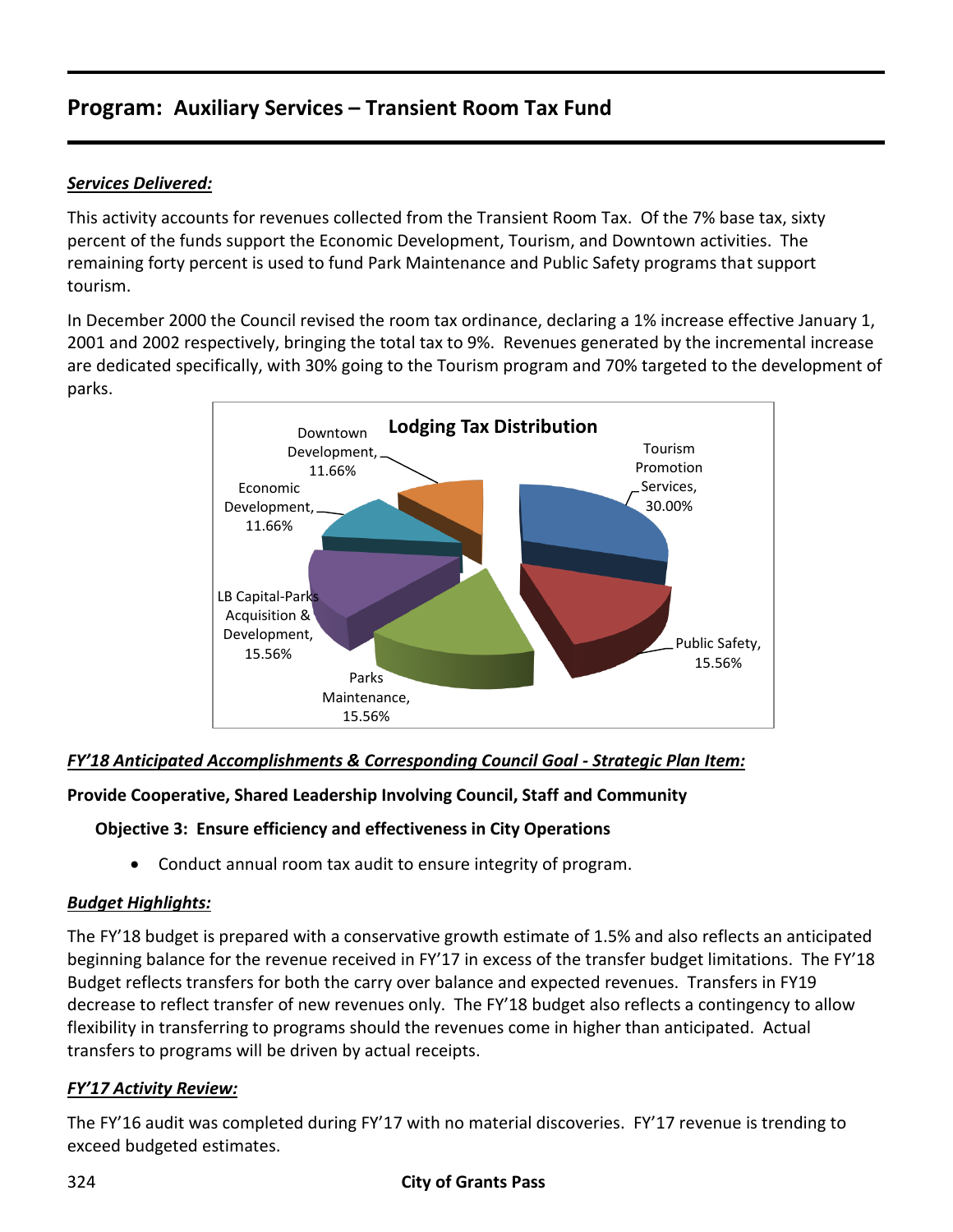# **Program: Auxiliary Services – Transient Room Tax Fund**

## *Services Delivered:*

This activity accounts for revenues collected from the Transient Room Tax. Of the 7% base tax, sixty percent of the funds support the Economic Development, Tourism, and Downtown activities. The remaining forty percent is used to fund Park Maintenance and Public Safety programs that support tourism.

In December 2000 the Council revised the room tax ordinance, declaring a 1% increase effective January 1, 2001 and 2002 respectively, bringing the total tax to 9%. Revenues generated by the incremental increase are dedicated specifically, with 30% going to the Tourism program and 70% targeted to the development of parks.



## *FY'18 Anticipated Accomplishments & Corresponding Council Goal - Strategic Plan Item:*

## **Provide Cooperative, Shared Leadership Involving Council, Staff and Community**

## **Objective 3: Ensure efficiency and effectiveness in City Operations**

Conduct annual room tax audit to ensure integrity of program.

## *Budget Highlights:*

The FY'18 budget is prepared with a conservative growth estimate of 1.5% and also reflects an anticipated beginning balance for the revenue received in FY'17 in excess of the transfer budget limitations. The FY'18 Budget reflects transfers for both the carry over balance and expected revenues. Transfers in FY19 decrease to reflect transfer of new revenues only. The FY'18 budget also reflects a contingency to allow flexibility in transferring to programs should the revenues come in higher than anticipated. Actual transfers to programs will be driven by actual receipts.

## *FY'17 Activity Review:*

The FY'16 audit was completed during FY'17 with no material discoveries. FY'17 revenue is trending to exceed budgeted estimates.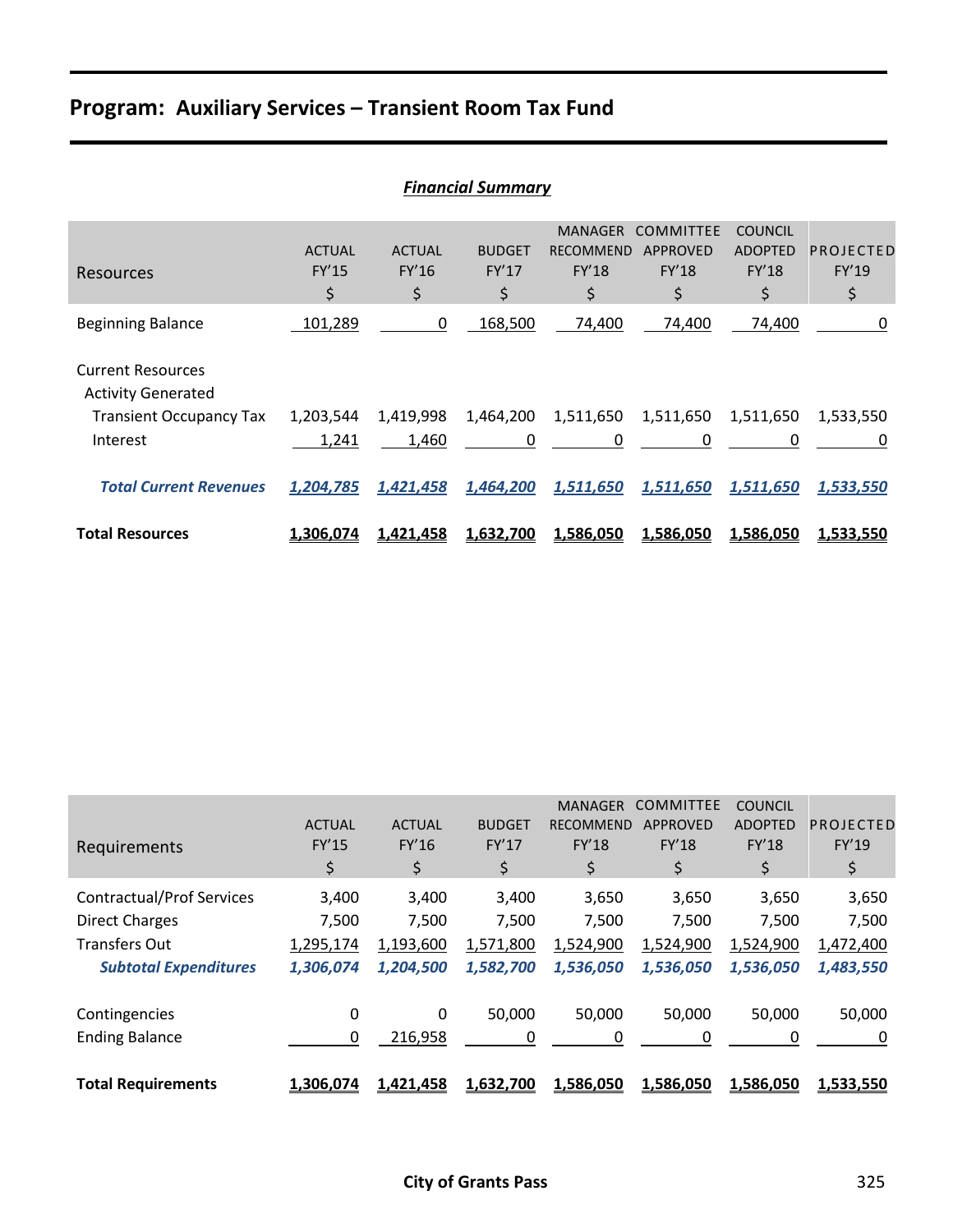# **Program: Auxiliary Services – Transient Room Tax Fund**

| <b>Financial Summary</b>                              |                                     |                              |                                     |                                                   |                                                    |                                                 |                          |  |  |
|-------------------------------------------------------|-------------------------------------|------------------------------|-------------------------------------|---------------------------------------------------|----------------------------------------------------|-------------------------------------------------|--------------------------|--|--|
| <b>Resources</b>                                      | <b>ACTUAL</b><br><b>FY'15</b><br>\$ | <b>ACTUAL</b><br>FY'16<br>\$ | <b>BUDGET</b><br><b>FY'17</b><br>\$ | <b>MANAGER</b><br><b>RECOMMEND</b><br>FY'18<br>\$ | <b>COMMITTEE</b><br>APPROVED<br><b>FY'18</b><br>\$ | <b>COUNCIL</b><br><b>ADOPTED</b><br>FY'18<br>\$ | PROJECTED<br>FY'19<br>\$ |  |  |
| <b>Beginning Balance</b>                              | 101,289                             | 0                            | 168,500                             | 74,400                                            | 74,400                                             | 74,400                                          | 0                        |  |  |
| <b>Current Resources</b><br><b>Activity Generated</b> |                                     |                              |                                     |                                                   |                                                    |                                                 |                          |  |  |
| <b>Transient Occupancy Tax</b><br>Interest            | 1,203,544<br>1,241                  | 1,419,998<br>1,460           | 1,464,200<br>0                      | 1,511,650<br>0                                    | 1,511,650<br>0                                     | 1,511,650<br>0                                  | 1,533,550<br>0           |  |  |
| <b>Total Current Revenues</b>                         | 1,204,785                           | 1,421,458                    | 1,464,200                           | 1,511,650                                         | 1,511,650                                          | 1,511,650                                       | 1,533,550                |  |  |
| <b>Total Resources</b>                                | 1,306,074                           | 1,421,458                    | 1,632,700                           | 1,586,050                                         | 1,586,050                                          | 1,586,050                                       | 1,533,550                |  |  |

| Requirements                     | <b>ACTUAL</b><br><b>FY'15</b><br>\$. | <b>ACTUAL</b><br>FY'16<br>\$ | <b>BUDGET</b><br>FY'17<br>\$ | <b>MANAGER</b><br><b>RECOMMEND</b><br><b>FY'18</b><br>\$ | COMMITTEE<br><b>APPROVED</b><br>FY'18<br>\$ | <b>COUNCIL</b><br><b>ADOPTED</b><br>FY'18<br>\$ | PROJECTED<br>FY'19<br>\$ |
|----------------------------------|--------------------------------------|------------------------------|------------------------------|----------------------------------------------------------|---------------------------------------------|-------------------------------------------------|--------------------------|
| <b>Contractual/Prof Services</b> | 3,400                                | 3,400                        | 3,400                        | 3,650                                                    | 3,650                                       | 3,650                                           | 3,650                    |
| <b>Direct Charges</b>            | 7,500                                | 7,500                        | 7,500                        | 7,500                                                    | 7,500                                       | 7,500                                           | 7,500                    |
| <b>Transfers Out</b>             | 1,295,174                            | 1,193,600                    | 1,571,800                    | 1,524,900                                                | 1,524,900                                   | 1,524,900                                       | 1,472,400                |
| <b>Subtotal Expenditures</b>     | 1,306,074                            | 1,204,500                    | 1,582,700                    | 1,536,050                                                | 1,536,050                                   | 1,536,050                                       | 1,483,550                |
| Contingencies                    | 0                                    | 0                            | 50,000                       | 50,000                                                   | 50,000                                      | 50,000                                          | 50,000                   |
| <b>Ending Balance</b>            | 0                                    | 216,958                      | 0                            | 0                                                        | 0                                           | 0                                               | 0                        |
| <b>Total Requirements</b>        | 1,306,074                            | 1,421,458                    | 1,632,700                    | 1,586,050                                                | 1,586,050                                   | 1,586,050                                       | 1,533,550                |

## *Financial Summary*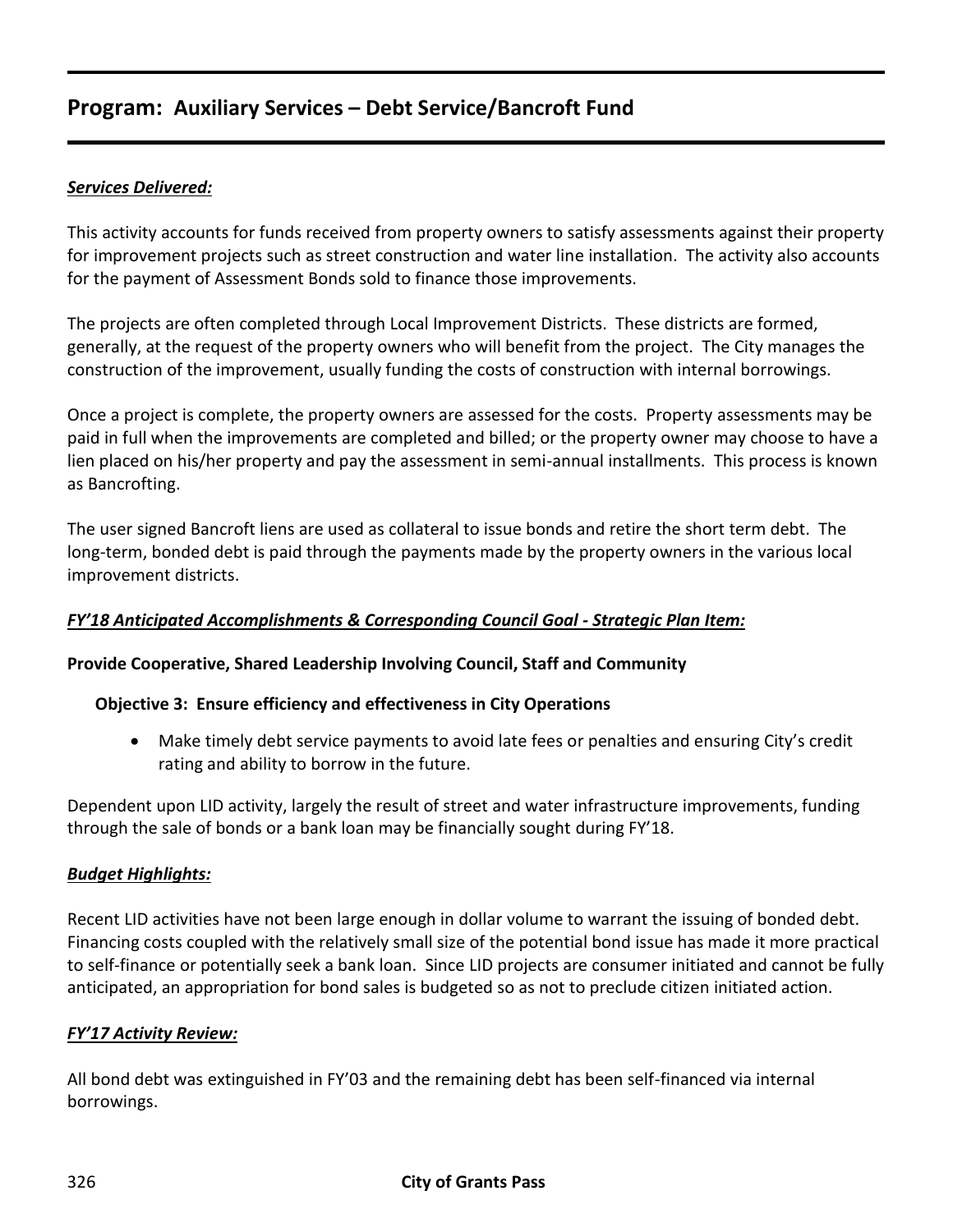# **Program: Auxiliary Services – Debt Service/Bancroft Fund**

## *Services Delivered:*

This activity accounts for funds received from property owners to satisfy assessments against their property for improvement projects such as street construction and water line installation. The activity also accounts for the payment of Assessment Bonds sold to finance those improvements.

The projects are often completed through Local Improvement Districts. These districts are formed, generally, at the request of the property owners who will benefit from the project. The City manages the construction of the improvement, usually funding the costs of construction with internal borrowings.

Once a project is complete, the property owners are assessed for the costs. Property assessments may be paid in full when the improvements are completed and billed; or the property owner may choose to have a lien placed on his/her property and pay the assessment in semi-annual installments. This process is known as Bancrofting.

The user signed Bancroft liens are used as collateral to issue bonds and retire the short term debt. The long-term, bonded debt is paid through the payments made by the property owners in the various local improvement districts.

### *FY'18 Anticipated Accomplishments & Corresponding Council Goal - Strategic Plan Item:*

#### **Provide Cooperative, Shared Leadership Involving Council, Staff and Community**

#### **Objective 3: Ensure efficiency and effectiveness in City Operations**

 Make timely debt service payments to avoid late fees or penalties and ensuring City's credit rating and ability to borrow in the future.

Dependent upon LID activity, largely the result of street and water infrastructure improvements, funding through the sale of bonds or a bank loan may be financially sought during FY'18.

#### *Budget Highlights:*

Recent LID activities have not been large enough in dollar volume to warrant the issuing of bonded debt. Financing costs coupled with the relatively small size of the potential bond issue has made it more practical to self-finance or potentially seek a bank loan. Since LID projects are consumer initiated and cannot be fully anticipated, an appropriation for bond sales is budgeted so as not to preclude citizen initiated action.

#### *FY'17 Activity Review:*

All bond debt was extinguished in FY'03 and the remaining debt has been self-financed via internal borrowings.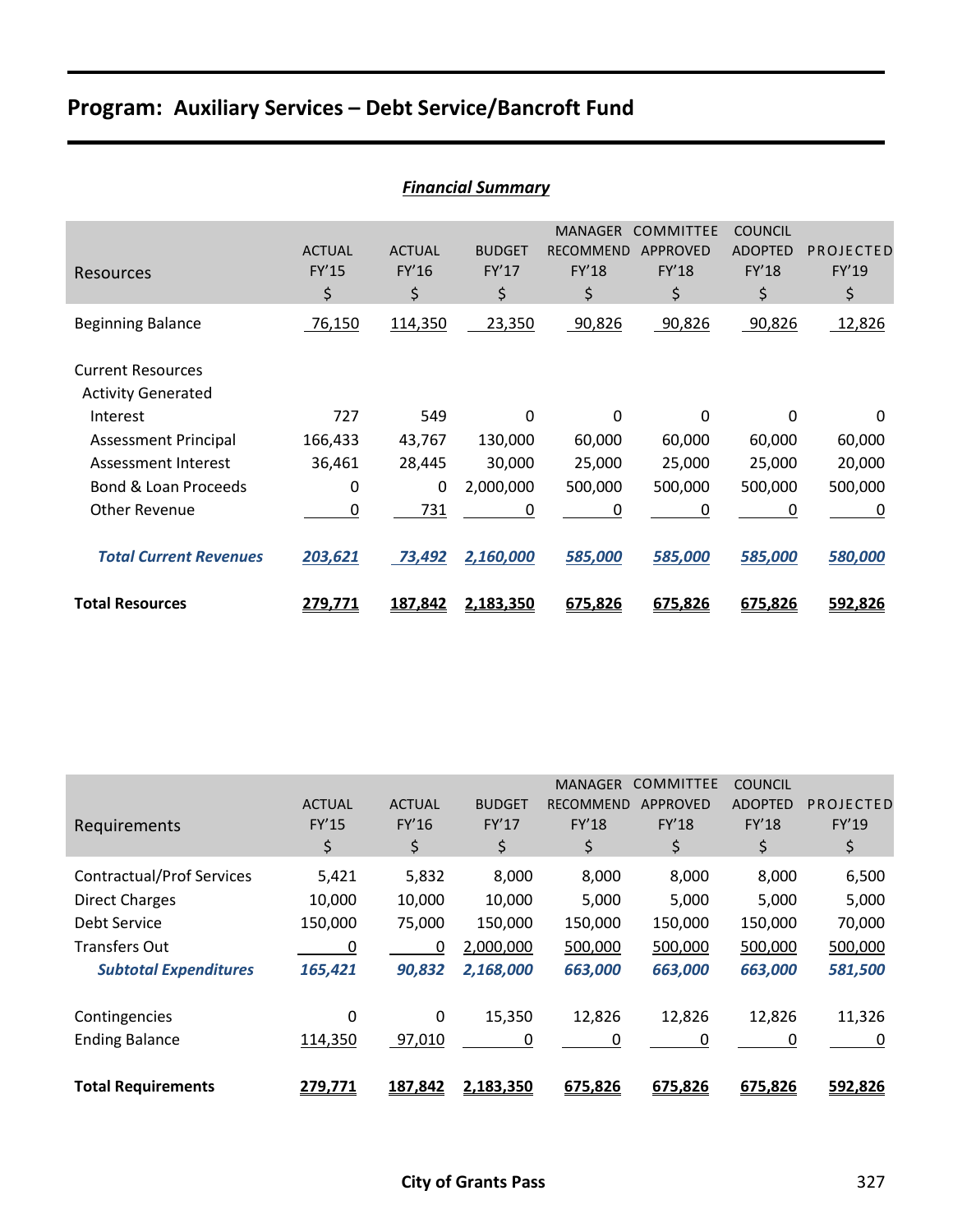# **Program: Auxiliary Services – Debt Service/Bancroft Fund**

| <b>Financial Summary</b>                              |                              |                              |                              |                                                          |                                                    |                                                        |                          |  |  |
|-------------------------------------------------------|------------------------------|------------------------------|------------------------------|----------------------------------------------------------|----------------------------------------------------|--------------------------------------------------------|--------------------------|--|--|
| Resources                                             | <b>ACTUAL</b><br>FY'15<br>\$ | <b>ACTUAL</b><br>FY'16<br>\$ | <b>BUDGET</b><br>FY'17<br>\$ | <b>MANAGER</b><br><b>RECOMMEND</b><br><b>FY'18</b><br>\$ | <b>COMMITTEE</b><br><b>APPROVED</b><br>FY'18<br>\$ | <b>COUNCIL</b><br><b>ADOPTED</b><br><b>FY'18</b><br>\$ | PROJECTED<br>FY'19<br>\$ |  |  |
| <b>Beginning Balance</b>                              | 76,150                       | 114,350                      | 23,350                       | 90,826                                                   | 90,826                                             | 90,826                                                 | 12,826                   |  |  |
| <b>Current Resources</b><br><b>Activity Generated</b> |                              |                              |                              |                                                          |                                                    |                                                        |                          |  |  |
| Interest                                              | 727                          | 549                          | 0                            | $\Omega$                                                 | $\Omega$                                           | $\Omega$                                               | $\Omega$                 |  |  |
| <b>Assessment Principal</b>                           | 166,433                      | 43,767                       | 130,000                      | 60,000                                                   | 60,000                                             | 60,000                                                 | 60,000                   |  |  |
| Assessment Interest                                   | 36,461                       | 28,445                       | 30,000                       | 25,000                                                   | 25,000                                             | 25,000                                                 | 20,000                   |  |  |
| Bond & Loan Proceeds                                  | 0                            | $\Omega$                     | 2,000,000                    | 500,000                                                  | 500,000                                            | 500,000                                                | 500,000                  |  |  |
| <b>Other Revenue</b>                                  | 0                            | 731                          | 0                            | 0                                                        | 0                                                  | 0                                                      | 0                        |  |  |
| <b>Total Current Revenues</b>                         | 203,621                      | 73,492                       | 2,160,000                    | 585,000                                                  | 585,000                                            | 585,000                                                | 580,000                  |  |  |
| <b>Total Resources</b>                                | 279,771                      | 187,842                      | 2,183,350                    | 675,826                                                  | 675,826                                            | 675,826                                                | 592,826                  |  |  |

| Requirements                     | <b>ACTUAL</b><br>FY'15<br>\$ | <b>ACTUAL</b><br>FY'16<br>\$ | <b>BUDGET</b><br>FY'17<br>\$ | <b>MANAGER</b><br><b>RECOMMEND</b><br><b>FY'18</b><br>\$ | <b>COMMITTEE</b><br><b>APPROVED</b><br><b>FY'18</b><br>\$ | <b>COUNCIL</b><br><b>ADOPTED</b><br><b>FY'18</b><br>\$ | PROJECTED<br>FY'19<br>\$ |
|----------------------------------|------------------------------|------------------------------|------------------------------|----------------------------------------------------------|-----------------------------------------------------------|--------------------------------------------------------|--------------------------|
| <b>Contractual/Prof Services</b> | 5,421                        | 5,832                        | 8,000                        | 8,000                                                    | 8,000                                                     | 8,000                                                  | 6,500                    |
| <b>Direct Charges</b>            | 10,000                       | 10,000                       | 10,000                       | 5,000                                                    | 5,000                                                     | 5,000                                                  | 5,000                    |
| Debt Service                     | 150,000                      | 75,000                       | 150,000                      | 150,000                                                  | 150,000                                                   | 150,000                                                | 70,000                   |
| <b>Transfers Out</b>             | 0                            | 0                            | 2,000,000                    | 500,000                                                  | 500,000                                                   | 500,000                                                | 500,000                  |
| <b>Subtotal Expenditures</b>     | 165,421                      | 90,832                       | 2,168,000                    | 663,000                                                  | 663,000                                                   | 663,000                                                | 581,500                  |
| Contingencies                    | 0                            | $\Omega$                     | 15,350                       | 12,826                                                   | 12,826                                                    | 12,826                                                 | 11,326                   |
| <b>Ending Balance</b>            | 114,350                      | 97,010                       | 0                            | 0                                                        | 0                                                         | 0                                                      | 0                        |
| <b>Total Requirements</b>        | 279,771                      | 187,842                      | 2,183,350                    | 675,826                                                  | 675,826                                                   | 675,826                                                | 592,826                  |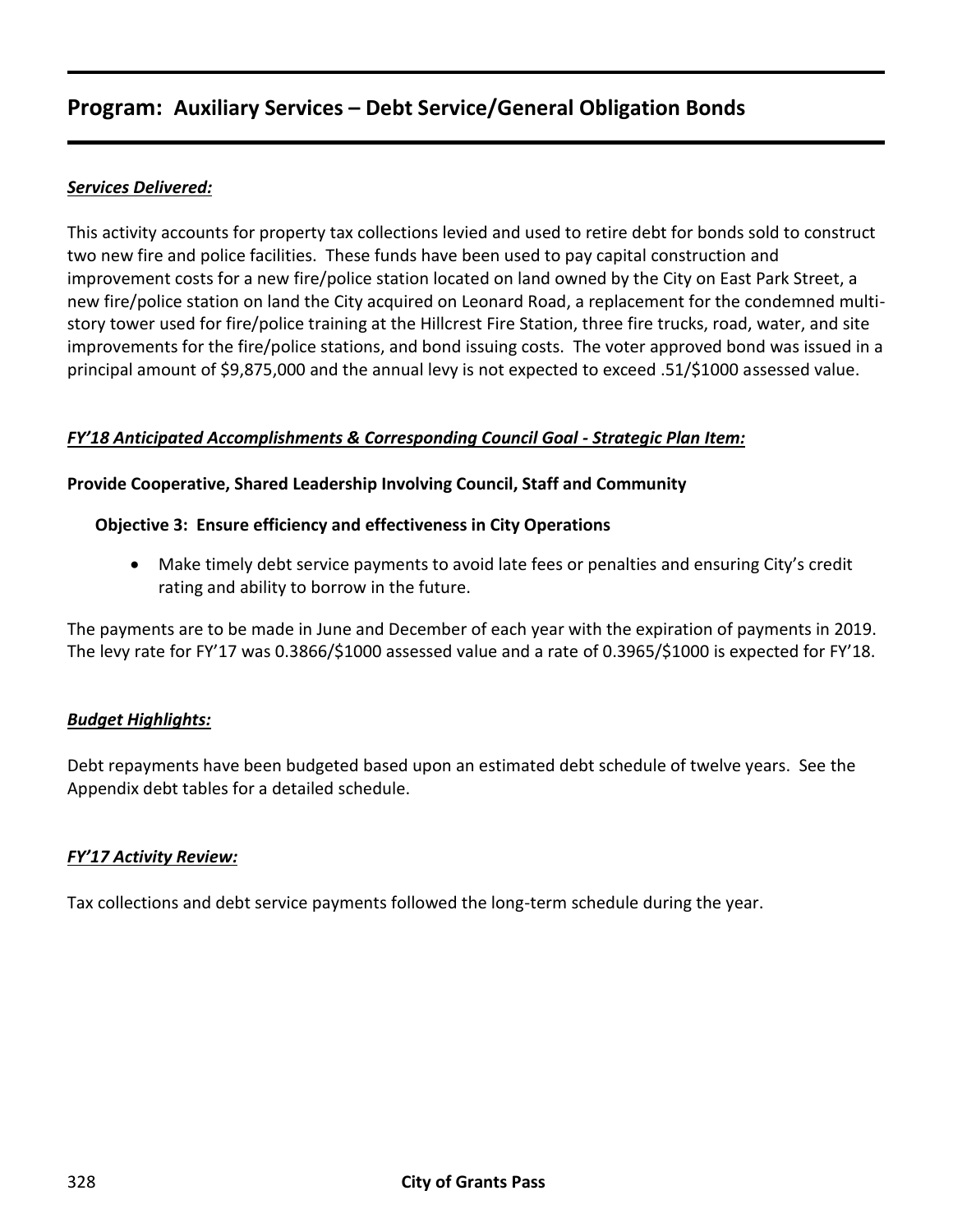# **Program: Auxiliary Services – Debt Service/General Obligation Bonds**

## *Services Delivered:*

This activity accounts for property tax collections levied and used to retire debt for bonds sold to construct two new fire and police facilities. These funds have been used to pay capital construction and improvement costs for a new fire/police station located on land owned by the City on East Park Street, a new fire/police station on land the City acquired on Leonard Road, a replacement for the condemned multistory tower used for fire/police training at the Hillcrest Fire Station, three fire trucks, road, water, and site improvements for the fire/police stations, and bond issuing costs. The voter approved bond was issued in a principal amount of \$9,875,000 and the annual levy is not expected to exceed .51/\$1000 assessed value.

#### *FY'18 Anticipated Accomplishments & Corresponding Council Goal - Strategic Plan Item:*

#### **Provide Cooperative, Shared Leadership Involving Council, Staff and Community**

#### **Objective 3: Ensure efficiency and effectiveness in City Operations**

 Make timely debt service payments to avoid late fees or penalties and ensuring City's credit rating and ability to borrow in the future.

The payments are to be made in June and December of each year with the expiration of payments in 2019. The levy rate for FY'17 was 0.3866/\$1000 assessed value and a rate of 0.3965/\$1000 is expected for FY'18.

#### *Budget Highlights:*

Debt repayments have been budgeted based upon an estimated debt schedule of twelve years. See the Appendix debt tables for a detailed schedule.

#### *FY'17 Activity Review:*

Tax collections and debt service payments followed the long-term schedule during the year.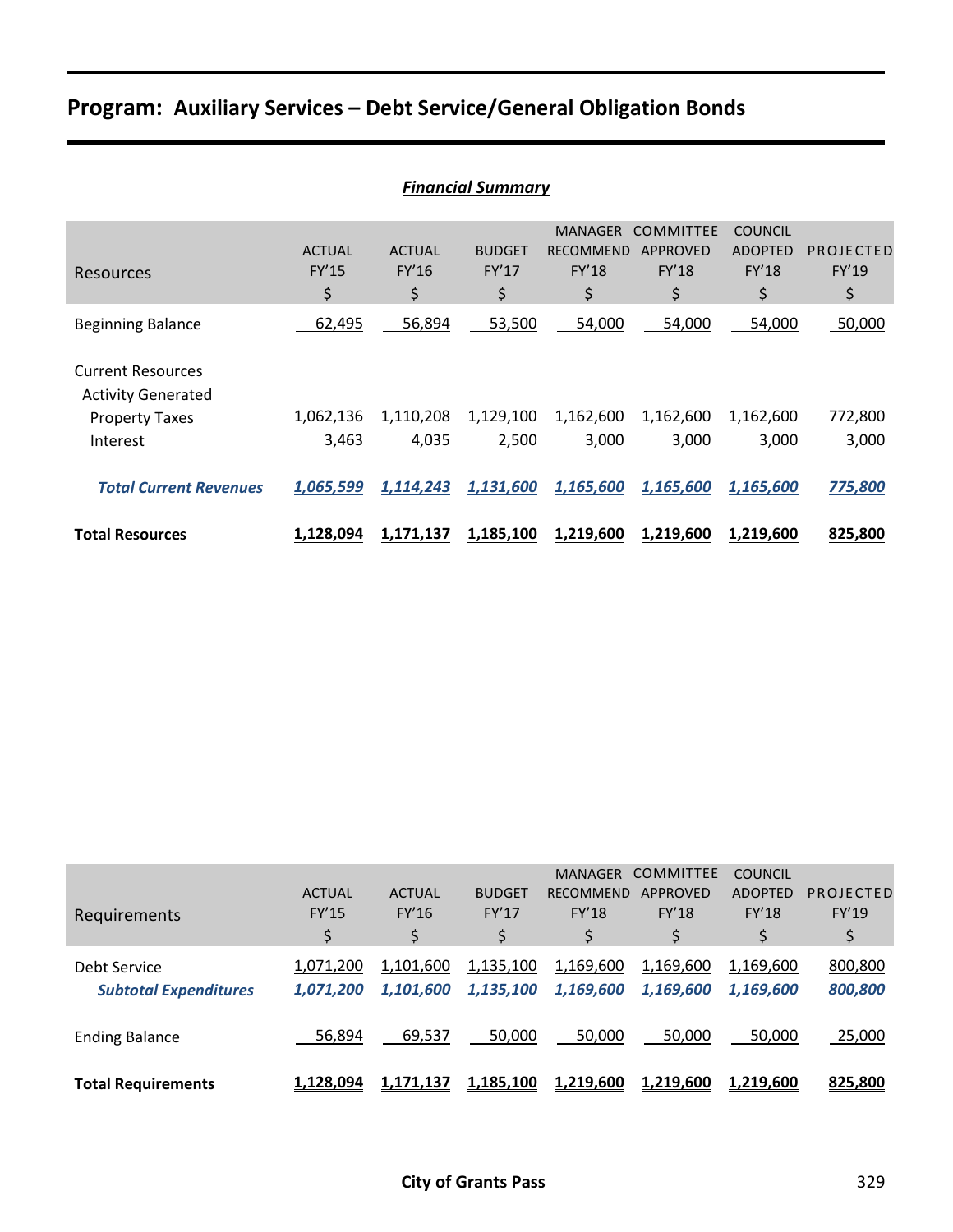# **Program: Auxiliary Services – Debt Service/General Obligation Bonds**

|                                                       | <b>Financial Summary</b>            |                              |                                     |                                                          |                                                           |                                                        |                          |  |  |  |
|-------------------------------------------------------|-------------------------------------|------------------------------|-------------------------------------|----------------------------------------------------------|-----------------------------------------------------------|--------------------------------------------------------|--------------------------|--|--|--|
| Resources                                             | <b>ACTUAL</b><br><b>FY'15</b><br>\$ | <b>ACTUAL</b><br>FY'16<br>\$ | <b>BUDGET</b><br><b>FY'17</b><br>\$ | <b>MANAGER</b><br><b>RECOMMEND</b><br><b>FY'18</b><br>\$ | <b>COMMITTEE</b><br><b>APPROVED</b><br><b>FY'18</b><br>\$ | <b>COUNCIL</b><br><b>ADOPTED</b><br><b>FY'18</b><br>\$ | PROJECTED<br>FY'19<br>\$ |  |  |  |
| <b>Beginning Balance</b>                              | 62,495                              | 56,894                       | 53,500                              | 54,000                                                   | 54,000                                                    | 54,000                                                 | 50,000                   |  |  |  |
| <b>Current Resources</b><br><b>Activity Generated</b> |                                     |                              |                                     |                                                          |                                                           |                                                        |                          |  |  |  |
| <b>Property Taxes</b>                                 | 1,062,136                           | 1,110,208                    | 1,129,100                           | 1,162,600                                                | 1,162,600                                                 | 1,162,600                                              | 772,800                  |  |  |  |
| Interest                                              | 3,463                               | 4,035                        | 2,500                               | 3,000                                                    | 3,000                                                     | 3,000                                                  | 3,000                    |  |  |  |
| <b>Total Current Revenues</b>                         | 1,065,599                           | 1,114,243                    | 1,131,600                           | 1,165,600                                                | 1,165,600                                                 | 1,165,600                                              | 775,800                  |  |  |  |
| <b>Total Resources</b>                                | 1,128,094                           | <u>1,171,137</u>             | 1,185,100                           | 1,219,600                                                | 1,219,600                                                 | <u>1,219,600</u>                                       | 825,800                  |  |  |  |

| Requirements                                 | <b>ACTUAL</b><br><b>FY'15</b><br>\$ | <b>ACTUAL</b><br>FY'16<br>\$ | <b>BUDGET</b><br>FY'17<br>\$ | <b>MANAGER</b><br><b>RECOMMEND</b><br><b>FY'18</b> | <b>COMMITTEE</b><br>APPROVED<br><b>FY'18</b> | <b>COUNCIL</b><br><b>ADOPTED</b><br><b>FY'18</b><br>\$ | PROJECTED<br>FY'19<br>\$ |
|----------------------------------------------|-------------------------------------|------------------------------|------------------------------|----------------------------------------------------|----------------------------------------------|--------------------------------------------------------|--------------------------|
| Debt Service<br><b>Subtotal Expenditures</b> | 1,071,200<br>1,071,200              | 1,101,600<br>1,101,600       | 1,135,100<br>1,135,100       | 1,169,600<br>1,169,600                             | 1,169,600<br>1,169,600                       | 1,169,600<br>1.169.600                                 | 800,800<br>800,800       |
| <b>Ending Balance</b>                        | 56,894                              | 69,537                       | 50,000                       | 50,000                                             | 50,000                                       | 50,000                                                 | 25,000                   |
| <b>Total Requirements</b>                    | 1,128,094                           | 1.171.137                    | 1,185,100                    | 1,219,600                                          | 1,219,600                                    | 1,219,600                                              | 825,800                  |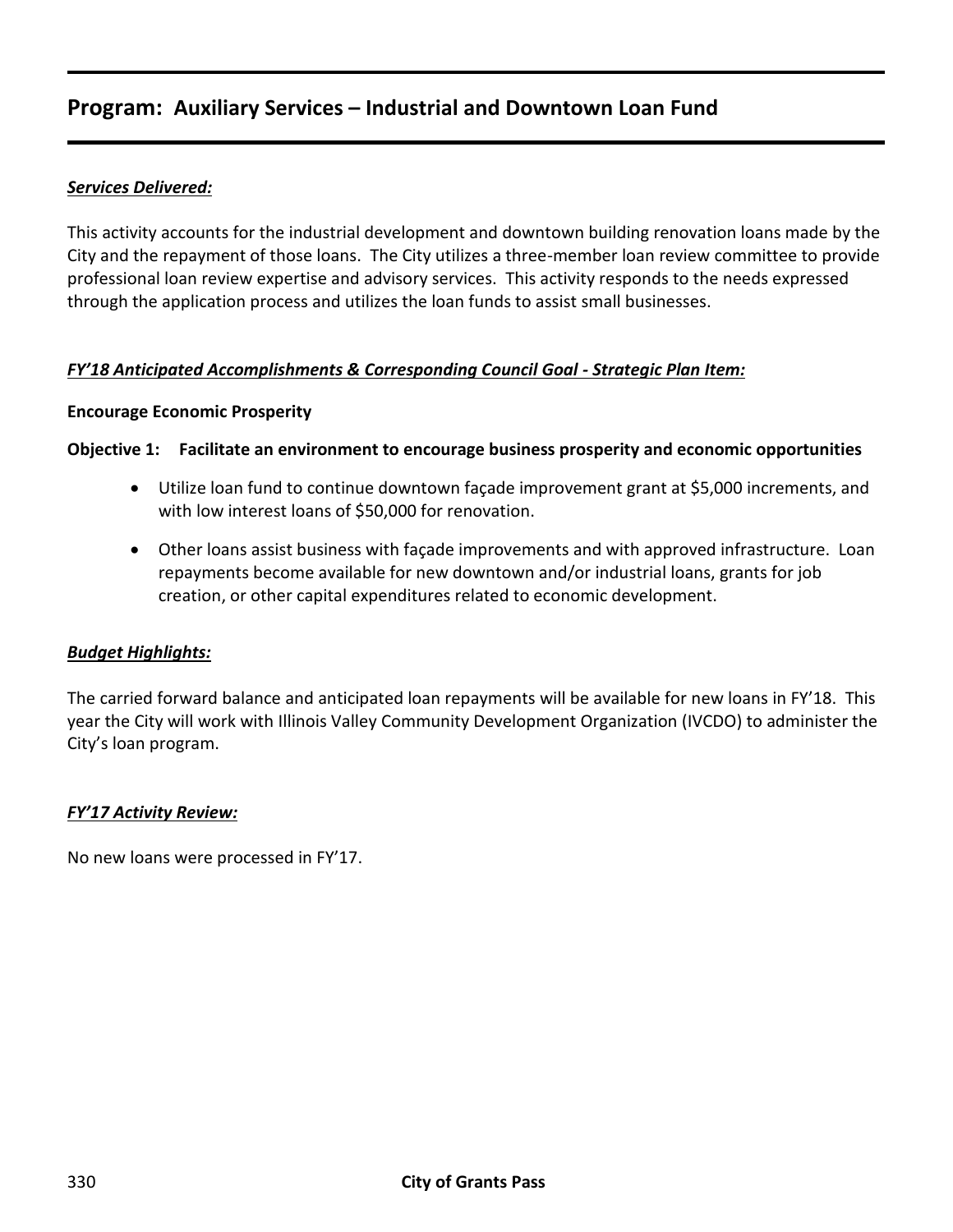# **Program: Auxiliary Services – Industrial and Downtown Loan Fund**

### *Services Delivered:*

This activity accounts for the industrial development and downtown building renovation loans made by the City and the repayment of those loans. The City utilizes a three-member loan review committee to provide professional loan review expertise and advisory services. This activity responds to the needs expressed through the application process and utilizes the loan funds to assist small businesses.

#### *FY'18 Anticipated Accomplishments & Corresponding Council Goal - Strategic Plan Item:*

#### **Encourage Economic Prosperity**

#### **Objective 1: Facilitate an environment to encourage business prosperity and economic opportunities**

- Utilize loan fund to continue downtown façade improvement grant at \$5,000 increments, and with low interest loans of \$50,000 for renovation.
- Other loans assist business with façade improvements and with approved infrastructure. Loan repayments become available for new downtown and/or industrial loans, grants for job creation, or other capital expenditures related to economic development.

#### *Budget Highlights:*

The carried forward balance and anticipated loan repayments will be available for new loans in FY'18. This year the City will work with Illinois Valley Community Development Organization (IVCDO) to administer the City's loan program.

#### *FY'17 Activity Review:*

No new loans were processed in FY'17.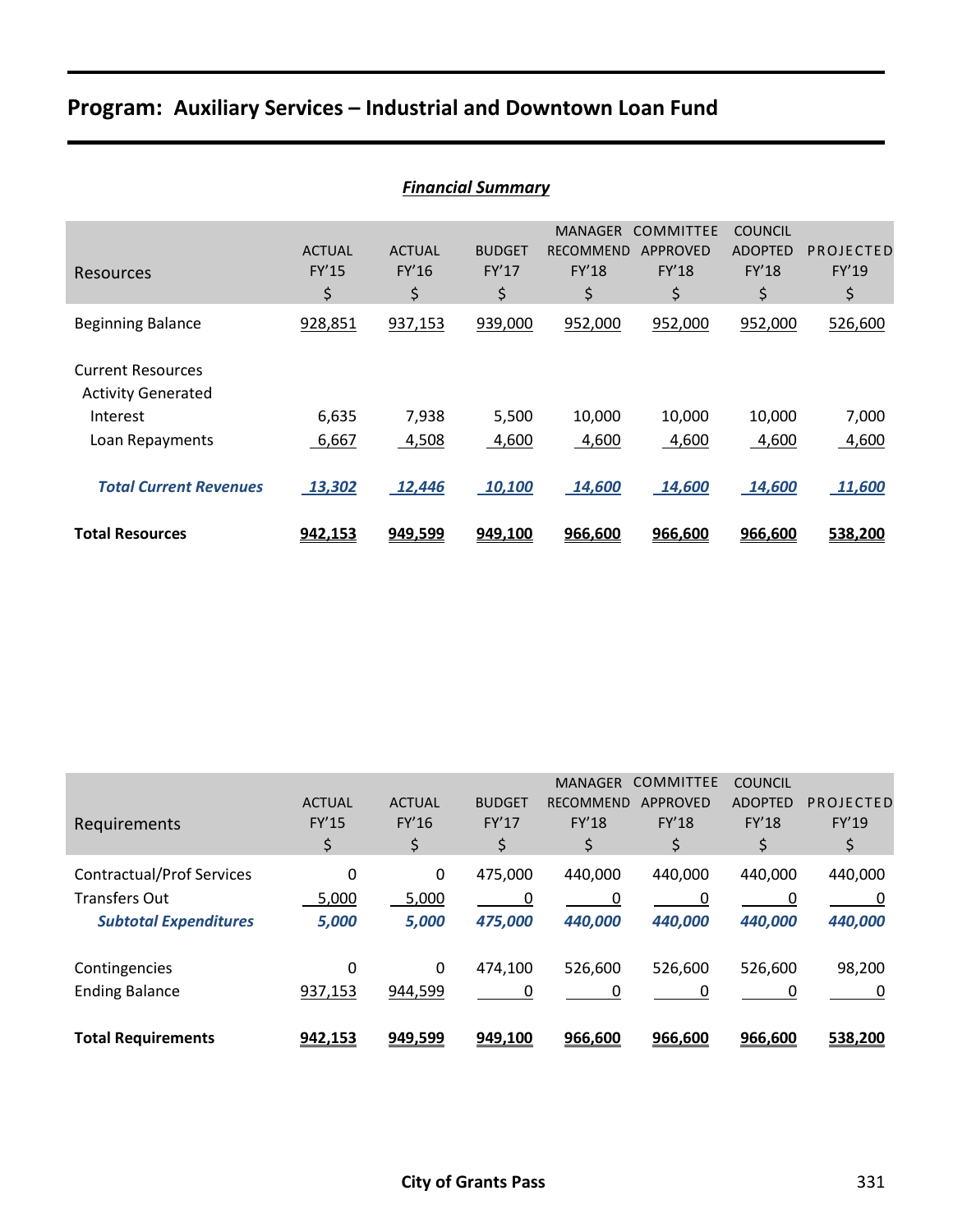# **Program: Auxiliary Services – Industrial and Downtown Loan Fund**

|                                                       | <b>Financial Summary</b>     |                              |                              |                                                          |                                                    |                                                        |                          |  |  |  |
|-------------------------------------------------------|------------------------------|------------------------------|------------------------------|----------------------------------------------------------|----------------------------------------------------|--------------------------------------------------------|--------------------------|--|--|--|
| Resources                                             | <b>ACTUAL</b><br>FY'15<br>\$ | <b>ACTUAL</b><br>FY'16<br>\$ | <b>BUDGET</b><br>FY'17<br>\$ | <b>MANAGER</b><br><b>RECOMMEND</b><br><b>FY'18</b><br>\$ | <b>COMMITTEE</b><br>APPROVED<br><b>FY'18</b><br>\$ | <b>COUNCIL</b><br><b>ADOPTED</b><br><b>FY'18</b><br>\$ | PROJECTED<br>FY'19<br>\$ |  |  |  |
| <b>Beginning Balance</b>                              | 928,851                      | 937,153                      | 939,000                      | 952,000                                                  | 952,000                                            | 952,000                                                | 526,600                  |  |  |  |
| <b>Current Resources</b><br><b>Activity Generated</b> |                              |                              |                              |                                                          |                                                    |                                                        |                          |  |  |  |
| Interest                                              | 6,635                        | 7,938                        | 5,500                        | 10,000                                                   | 10,000                                             | 10,000                                                 | 7,000                    |  |  |  |
| Loan Repayments                                       | 6,667                        | 4,508                        | 4,600                        | 4,600                                                    | 4,600                                              | 4,600                                                  | 4,600                    |  |  |  |
| <b>Total Current Revenues</b>                         | 13,302                       | 12,446                       | 10,100                       | 14,600                                                   | 14,600                                             | 14,600                                                 | 11,600                   |  |  |  |
| <b>Total Resources</b>                                | 942,153                      | 949,599                      | 949,100                      | 966,600                                                  | 966,600                                            | 966,600                                                | 538,200                  |  |  |  |

| Requirements                     | <b>ACTUAL</b><br><b>FY'15</b><br>\$ | <b>ACTUAL</b><br>FY'16<br>\$ | <b>BUDGET</b><br>FY'17<br>\$ | <b>MANAGER</b><br><b>RECOMMEND</b><br><b>FY'18</b><br>\$ | <b>COMMITTEE</b><br><b>APPROVED</b><br><b>FY'18</b><br>\$ | <b>COUNCIL</b><br><b>ADOPTED</b><br><b>FY'18</b><br>\$ | PROJECTED<br>FY'19<br>\$ |
|----------------------------------|-------------------------------------|------------------------------|------------------------------|----------------------------------------------------------|-----------------------------------------------------------|--------------------------------------------------------|--------------------------|
| <b>Contractual/Prof Services</b> | 0                                   | 0                            | 475,000                      | 440,000                                                  | 440.000                                                   | 440,000                                                | 440,000                  |
| <b>Transfers Out</b>             | 5,000                               | 5,000                        | 0                            | 0                                                        | 0                                                         | 0                                                      | 0                        |
| <b>Subtotal Expenditures</b>     | 5,000                               | 5,000                        | 475,000                      | 440,000                                                  | 440,000                                                   | 440,000                                                | 440,000                  |
| Contingencies                    | 0                                   | 0                            | 474,100                      | 526,600                                                  | 526,600                                                   | 526,600                                                | 98,200                   |
| <b>Ending Balance</b>            | 937,153                             | 944,599                      | 0                            | 0                                                        | 0                                                         | 0                                                      | 0                        |
| <b>Total Requirements</b>        | 942,153                             | 949,599                      | 949,100                      | 966,600                                                  | 966,600                                                   | 966,600                                                | 538,200                  |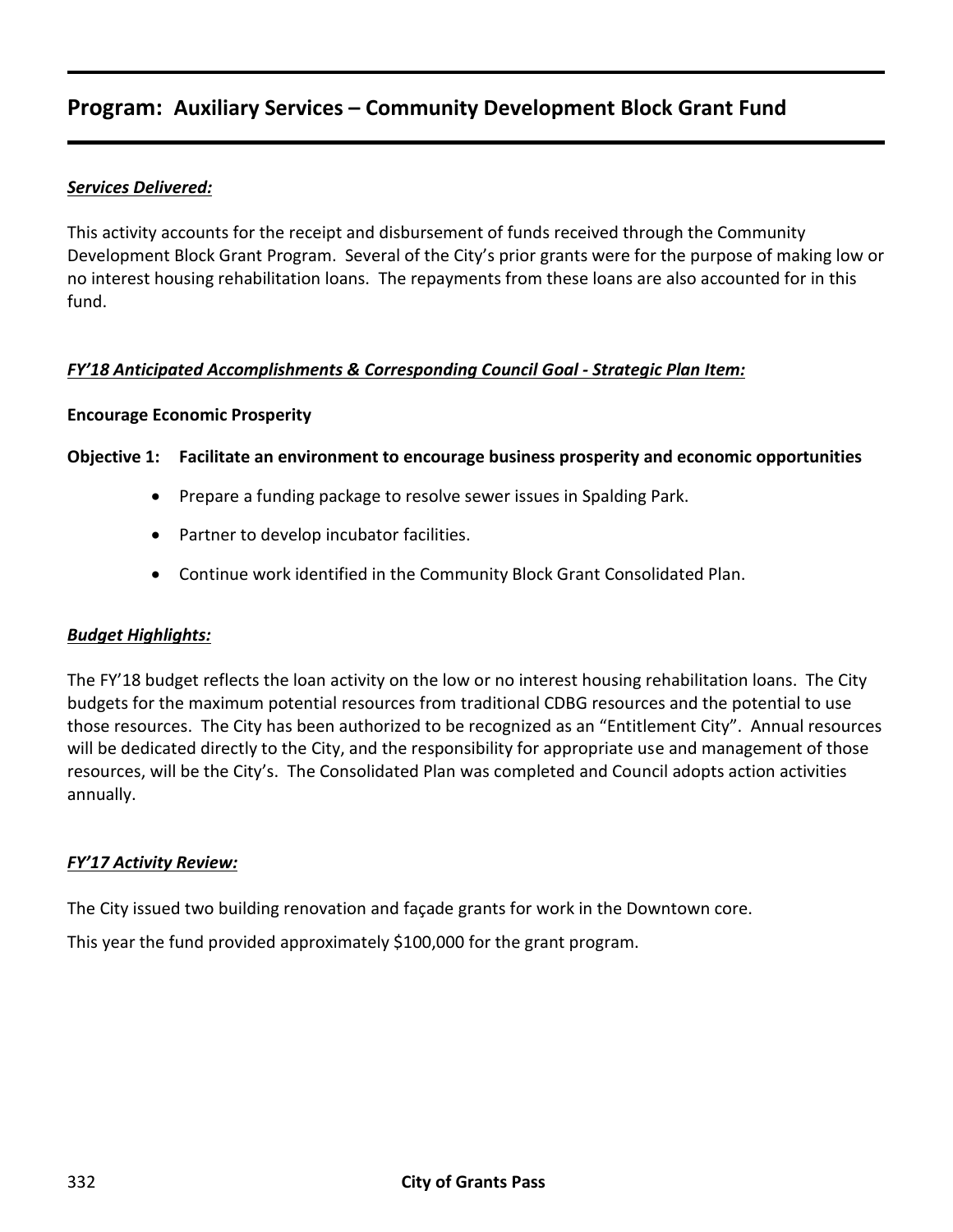# **Program: Auxiliary Services – Community Development Block Grant Fund**

#### *Services Delivered:*

This activity accounts for the receipt and disbursement of funds received through the Community Development Block Grant Program. Several of the City's prior grants were for the purpose of making low or no interest housing rehabilitation loans. The repayments from these loans are also accounted for in this fund.

#### *FY'18 Anticipated Accomplishments & Corresponding Council Goal - Strategic Plan Item:*

#### **Encourage Economic Prosperity**

#### **Objective 1: Facilitate an environment to encourage business prosperity and economic opportunities**

- Prepare a funding package to resolve sewer issues in Spalding Park.
- Partner to develop incubator facilities.
- Continue work identified in the Community Block Grant Consolidated Plan.

#### *Budget Highlights:*

The FY'18 budget reflects the loan activity on the low or no interest housing rehabilitation loans. The City budgets for the maximum potential resources from traditional CDBG resources and the potential to use those resources. The City has been authorized to be recognized as an "Entitlement City". Annual resources will be dedicated directly to the City, and the responsibility for appropriate use and management of those resources, will be the City's. The Consolidated Plan was completed and Council adopts action activities annually.

#### *FY'17 Activity Review:*

The City issued two building renovation and façade grants for work in the Downtown core.

This year the fund provided approximately \$100,000 for the grant program.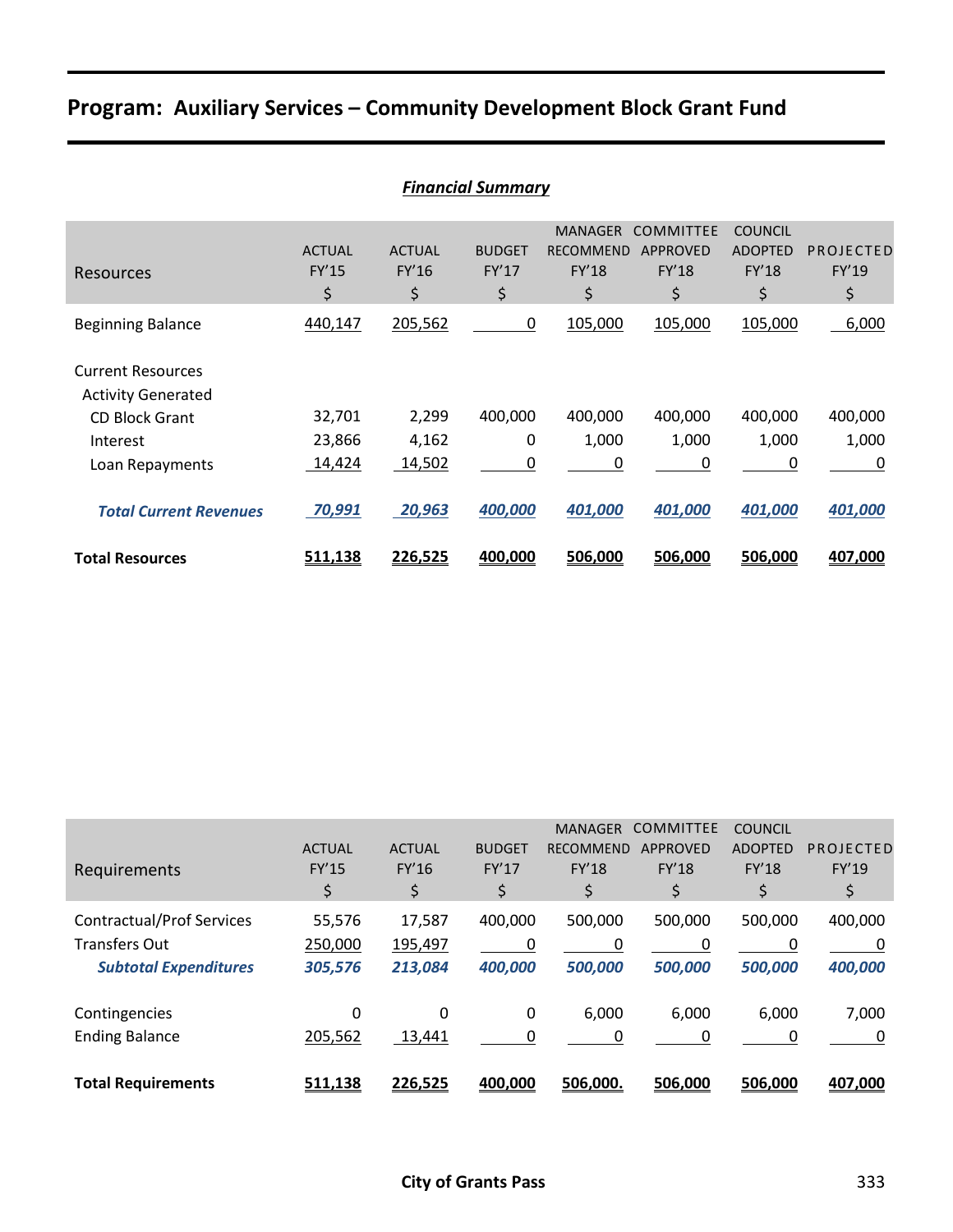# **Program: Auxiliary Services – Community Development Block Grant Fund**

|                                                       | <b>Financial Summary</b>     |                              |                              |                                                          |                                                    |                                                 |                          |  |  |  |
|-------------------------------------------------------|------------------------------|------------------------------|------------------------------|----------------------------------------------------------|----------------------------------------------------|-------------------------------------------------|--------------------------|--|--|--|
| Resources                                             | <b>ACTUAL</b><br>FY'15<br>\$ | <b>ACTUAL</b><br>FY'16<br>\$ | <b>BUDGET</b><br>FY'17<br>\$ | <b>MANAGER</b><br><b>RECOMMEND</b><br><b>FY'18</b><br>\$ | <b>COMMITTEE</b><br><b>APPROVED</b><br>FY'18<br>\$ | <b>COUNCIL</b><br><b>ADOPTED</b><br>FY'18<br>\$ | PROJECTED<br>FY'19<br>\$ |  |  |  |
| <b>Beginning Balance</b>                              | 440,147                      | 205,562                      | 0                            | 105,000                                                  | 105,000                                            | 105,000                                         | 6,000                    |  |  |  |
| <b>Current Resources</b><br><b>Activity Generated</b> |                              |                              |                              |                                                          |                                                    |                                                 |                          |  |  |  |
| <b>CD Block Grant</b>                                 | 32,701                       | 2,299                        | 400,000                      | 400,000                                                  | 400,000                                            | 400,000                                         | 400,000                  |  |  |  |
| Interest                                              | 23,866                       | 4,162                        | 0                            | 1,000                                                    | 1,000                                              | 1,000                                           | 1,000                    |  |  |  |
| Loan Repayments                                       | 14,424                       | 14,502                       | 0                            | 0                                                        | 0                                                  | 0                                               | 0                        |  |  |  |
| <b>Total Current Revenues</b>                         | 70,991                       | 20,963                       | 400,000                      | 401,000                                                  | 401,000                                            | 401,000                                         | 401,000                  |  |  |  |
| <b>Total Resources</b>                                | 511,138                      | 226,525                      | 400,000                      | 506,000                                                  | 506,000                                            | 506,000                                         | 407,000                  |  |  |  |

| Requirements                                                                             | <b>ACTUAL</b><br>FY'15<br>\$ | <b>ACTUAL</b><br>FY'16<br>\$ | <b>BUDGET</b><br>FY'17<br>\$ | <b>MANAGER</b><br><b>RECOMMEND</b><br><b>FY'18</b><br>\$ | <b>COMMITTEE</b><br><b>APPROVED</b><br><b>FY'18</b><br>\$ | <b>COUNCIL</b><br><b>ADOPTED</b><br><b>FY'18</b><br>\$ | PROJECTED<br>FY'19<br>\$ |
|------------------------------------------------------------------------------------------|------------------------------|------------------------------|------------------------------|----------------------------------------------------------|-----------------------------------------------------------|--------------------------------------------------------|--------------------------|
| <b>Contractual/Prof Services</b><br><b>Transfers Out</b><br><b>Subtotal Expenditures</b> | 55,576<br>250,000<br>305,576 | 17,587<br>195,497<br>213,084 | 400,000<br>0<br>400,000      | 500,000<br>0<br>500,000                                  | 500,000<br>0<br>500,000                                   | 500,000<br>0<br>500,000                                | 400,000<br>0<br>400,000  |
| Contingencies<br><b>Ending Balance</b>                                                   | 0<br>205,562                 | 0<br>13,441                  | 0<br>0                       | 6,000<br>0                                               | 6,000<br>0                                                | 6,000<br>0                                             | 7,000<br>0               |
| <b>Total Requirements</b>                                                                | 511,138                      | 226,525                      | 400,000                      | 506,000                                                  | 506,000                                                   | 506,000                                                | 407,000                  |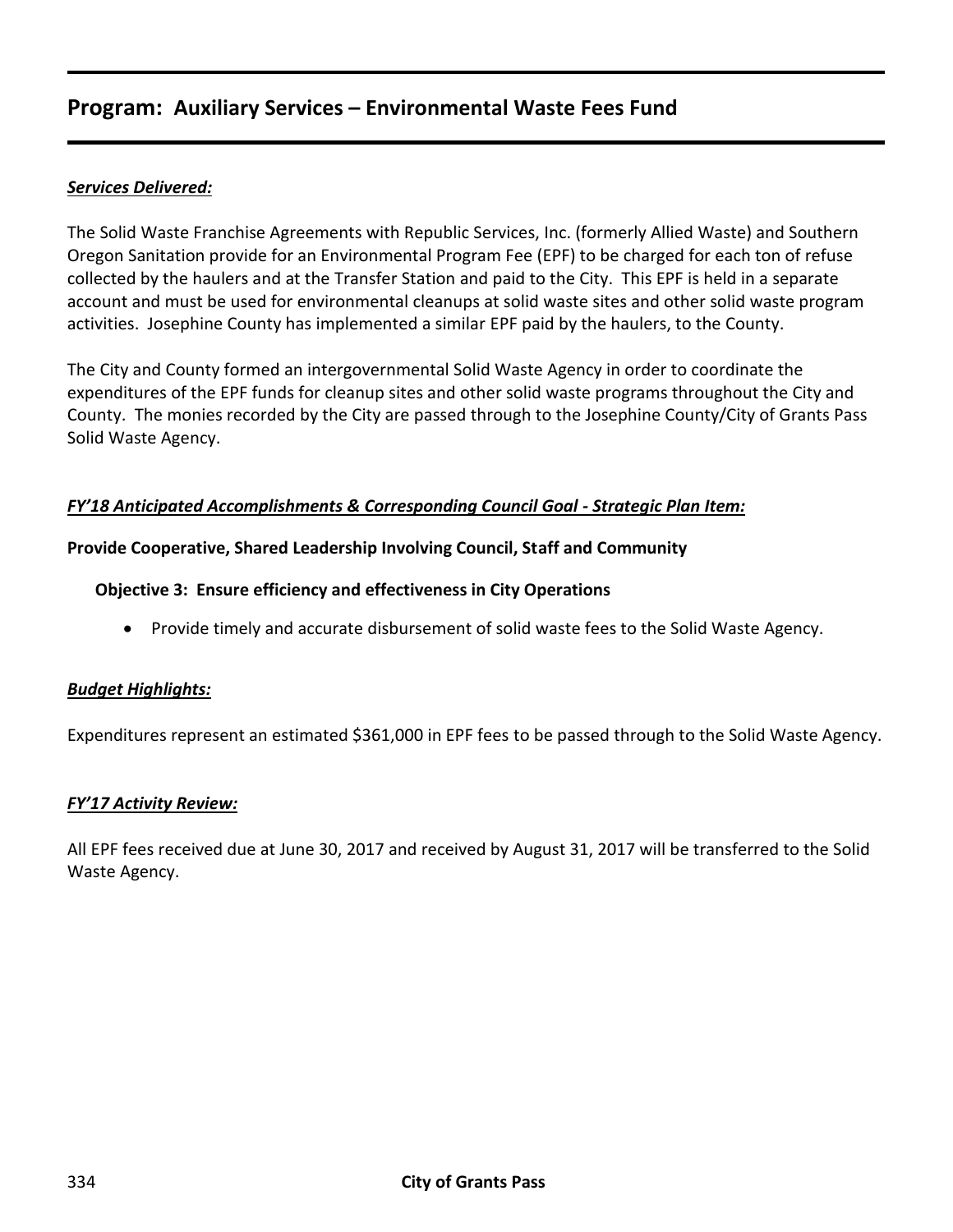# **Program: Auxiliary Services – Environmental Waste Fees Fund**

## *Services Delivered:*

The Solid Waste Franchise Agreements with Republic Services, Inc. (formerly Allied Waste) and Southern Oregon Sanitation provide for an Environmental Program Fee (EPF) to be charged for each ton of refuse collected by the haulers and at the Transfer Station and paid to the City. This EPF is held in a separate account and must be used for environmental cleanups at solid waste sites and other solid waste program activities. Josephine County has implemented a similar EPF paid by the haulers, to the County.

The City and County formed an intergovernmental Solid Waste Agency in order to coordinate the expenditures of the EPF funds for cleanup sites and other solid waste programs throughout the City and County. The monies recorded by the City are passed through to the Josephine County/City of Grants Pass Solid Waste Agency.

#### *FY'18 Anticipated Accomplishments & Corresponding Council Goal - Strategic Plan Item:*

#### **Provide Cooperative, Shared Leadership Involving Council, Staff and Community**

#### **Objective 3: Ensure efficiency and effectiveness in City Operations**

• Provide timely and accurate disbursement of solid waste fees to the Solid Waste Agency.

#### *Budget Highlights:*

Expenditures represent an estimated \$361,000 in EPF fees to be passed through to the Solid Waste Agency.

#### *FY'17 Activity Review:*

All EPF fees received due at June 30, 2017 and received by August 31, 2017 will be transferred to the Solid Waste Agency.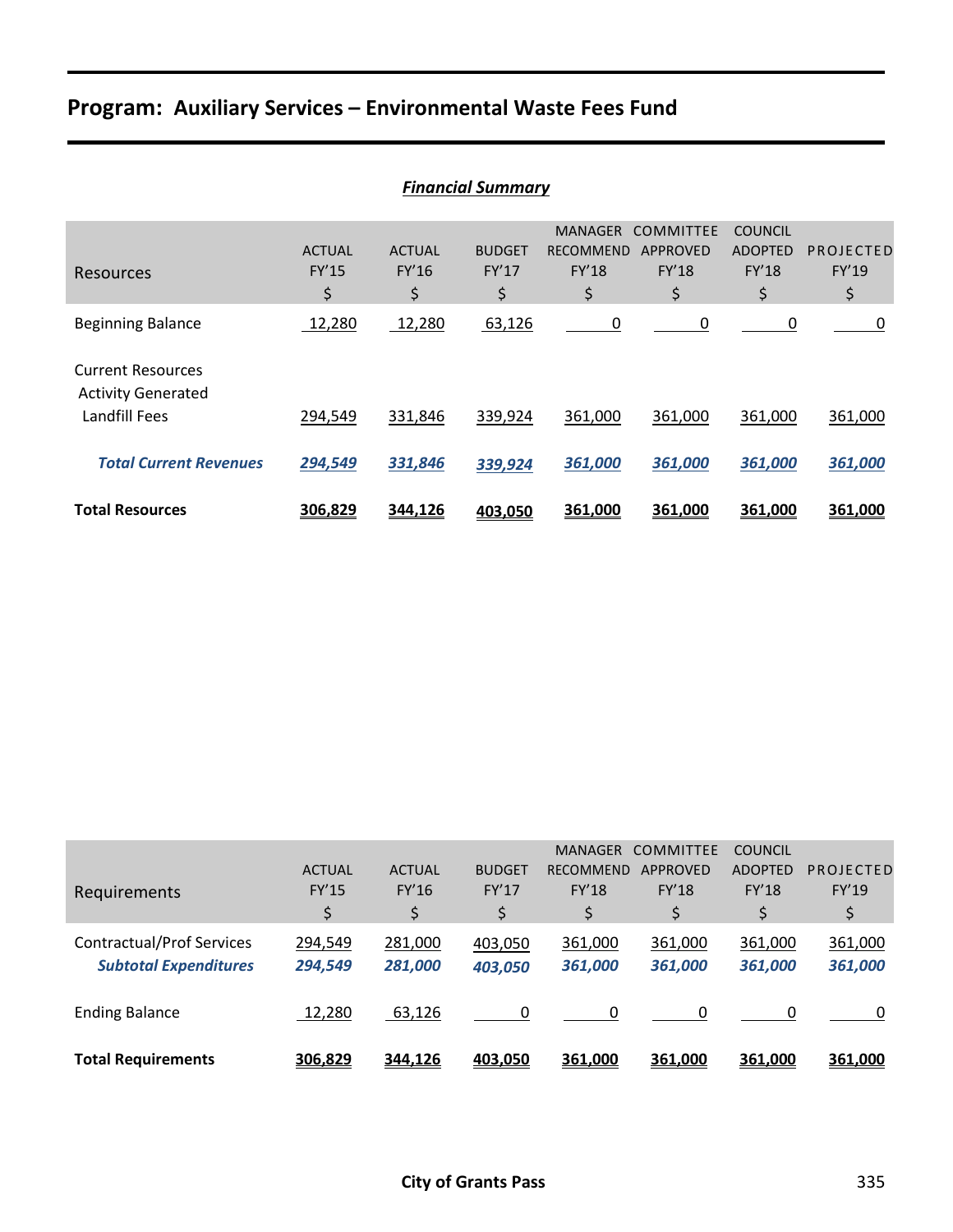# **Program: Auxiliary Services – Environmental Waste Fees Fund**

| <b>Financial Summary</b>                              |                              |                              |                              |                                                          |                                             |                                                 |                          |  |
|-------------------------------------------------------|------------------------------|------------------------------|------------------------------|----------------------------------------------------------|---------------------------------------------|-------------------------------------------------|--------------------------|--|
| Resources                                             | <b>ACTUAL</b><br>FY'15<br>\$ | <b>ACTUAL</b><br>FY'16<br>\$ | <b>BUDGET</b><br>FY'17<br>\$ | <b>MANAGER</b><br><b>RECOMMEND</b><br><b>FY'18</b><br>\$ | <b>COMMITTEE</b><br>APPROVED<br>FY'18<br>\$ | <b>COUNCIL</b><br><b>ADOPTED</b><br>FY'18<br>\$ | PROJECTED<br>FY'19<br>\$ |  |
| <b>Beginning Balance</b>                              | 12,280                       | 12,280                       | 63,126                       | 0                                                        | 0                                           | 0                                               | 0                        |  |
| <b>Current Resources</b><br><b>Activity Generated</b> |                              |                              |                              |                                                          |                                             |                                                 |                          |  |
| Landfill Fees                                         | 294,549                      | 331,846                      | 339,924                      | 361,000                                                  | 361,000                                     | 361,000                                         | 361,000                  |  |
| <b>Total Current Revenues</b>                         | 294,549                      | 331,846                      | 339,924                      | 361,000                                                  | 361,000                                     | 361,000                                         | 361,000                  |  |
| <b>Total Resources</b>                                | 306,829                      | 344,126                      | 403,050                      | 361,000                                                  | 361,000                                     | 361,000                                         | 361,000                  |  |

|                                  |               |               |               | <b>MANAGER</b>   | <b>COMMITTEE</b> | <b>COUNCIL</b> |           |
|----------------------------------|---------------|---------------|---------------|------------------|------------------|----------------|-----------|
|                                  | <b>ACTUAL</b> | <b>ACTUAL</b> | <b>BUDGET</b> | <b>RECOMMEND</b> | APPROVED         | <b>ADOPTED</b> | PROJECTED |
| Requirements                     | FY'15         | FY'16         | FY'17         | <b>FY'18</b>     | FY'18            | <b>FY'18</b>   | FY'19     |
|                                  | \$            | \$            | \$            | \$               | \$               | \$             | \$        |
| <b>Contractual/Prof Services</b> | 294,549       | 281,000       | 403,050       | 361,000          | 361,000          | 361,000        | 361,000   |
| <b>Subtotal Expenditures</b>     | 294,549       | 281,000       | 403,050       | 361,000          | 361,000          | 361,000        | 361,000   |
|                                  |               |               |               |                  |                  |                |           |
| <b>Ending Balance</b>            | 12,280        | 63,126        | $\Omega$      |                  | $\Omega$         | $\Omega$       |           |
|                                  |               |               |               |                  |                  |                |           |
| <b>Total Requirements</b>        | 306,829       | 344,126       | 403,050       | 361,000          | 361,000          | 361,000        | 361,000   |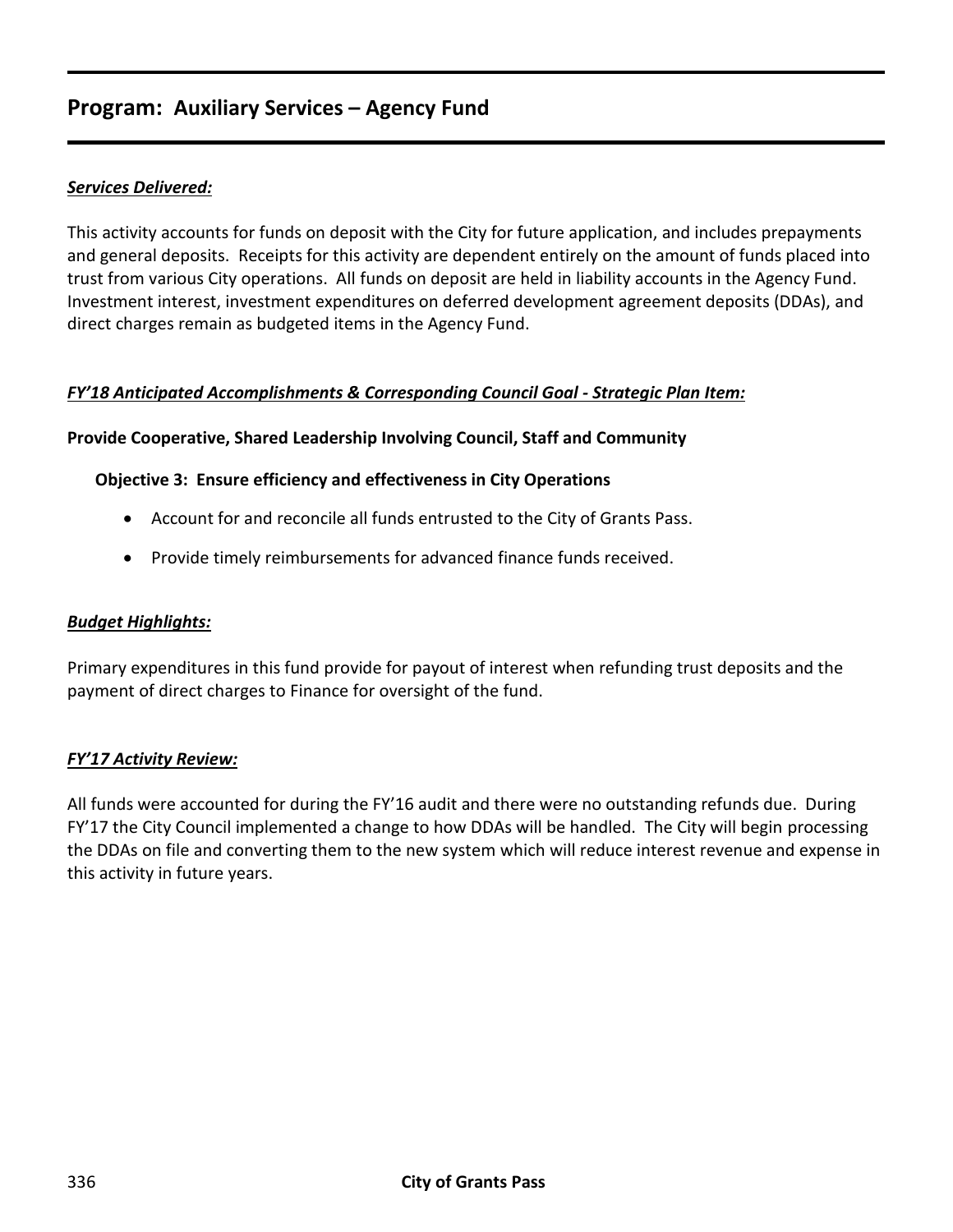# **Program: Auxiliary Services – Agency Fund**

## *Services Delivered:*

This activity accounts for funds on deposit with the City for future application, and includes prepayments and general deposits. Receipts for this activity are dependent entirely on the amount of funds placed into trust from various City operations. All funds on deposit are held in liability accounts in the Agency Fund. Investment interest, investment expenditures on deferred development agreement deposits (DDAs), and direct charges remain as budgeted items in the Agency Fund.

#### *FY'18 Anticipated Accomplishments & Corresponding Council Goal - Strategic Plan Item:*

#### **Provide Cooperative, Shared Leadership Involving Council, Staff and Community**

#### **Objective 3: Ensure efficiency and effectiveness in City Operations**

- Account for and reconcile all funds entrusted to the City of Grants Pass.
- Provide timely reimbursements for advanced finance funds received.

#### *Budget Highlights:*

Primary expenditures in this fund provide for payout of interest when refunding trust deposits and the payment of direct charges to Finance for oversight of the fund.

#### *FY'17 Activity Review:*

All funds were accounted for during the FY'16 audit and there were no outstanding refunds due. During FY'17 the City Council implemented a change to how DDAs will be handled. The City will begin processing the DDAs on file and converting them to the new system which will reduce interest revenue and expense in this activity in future years.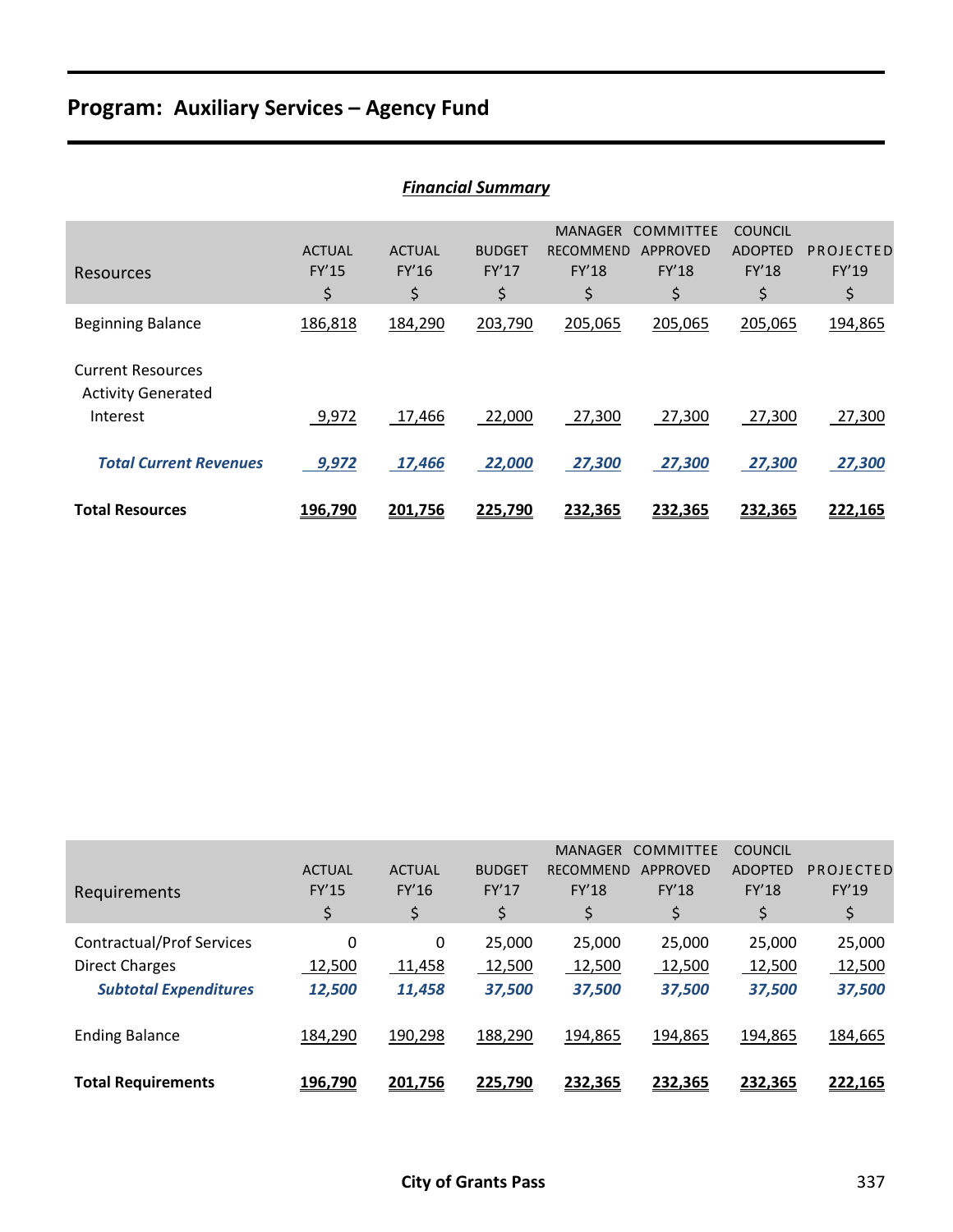# **Program: Auxiliary Services – Agency Fund**

| <b>Financial Summary</b>                                          |                                     |                              |                              |                                                          |                                                    |                                                        |                          |
|-------------------------------------------------------------------|-------------------------------------|------------------------------|------------------------------|----------------------------------------------------------|----------------------------------------------------|--------------------------------------------------------|--------------------------|
| Resources                                                         | <b>ACTUAL</b><br><b>FY'15</b><br>\$ | <b>ACTUAL</b><br>FY'16<br>\$ | <b>BUDGET</b><br>FY'17<br>\$ | <b>MANAGER</b><br><b>RECOMMEND</b><br><b>FY'18</b><br>\$ | <b>COMMITTEE</b><br>APPROVED<br><b>FY'18</b><br>\$ | <b>COUNCIL</b><br><b>ADOPTED</b><br><b>FY'18</b><br>\$ | PROJECTED<br>FY'19<br>\$ |
| <b>Beginning Balance</b>                                          | 186,818                             | 184,290                      | 203,790                      | 205,065                                                  | 205,065                                            | 205,065                                                | 194,865                  |
| <b>Current Resources</b><br><b>Activity Generated</b><br>Interest | 9,972                               | 17,466                       | 22,000                       | 27,300                                                   | 27,300                                             | 27,300                                                 | 27,300                   |
| <b>Total Current Revenues</b>                                     | 9,972                               | 17,466                       | 22,000                       | 27,300                                                   | 27,300                                             | 27,300                                                 | 27,300                   |
| <b>Total Resources</b>                                            | 196,790                             | 201,756                      | 225,790                      | 232,365                                                  | 232,365                                            | 232,365                                                | 222,165                  |

|                                  |               |               |               | <b>MANAGER</b> | <b>COMMITTEE</b> | <b>COUNCIL</b> |           |
|----------------------------------|---------------|---------------|---------------|----------------|------------------|----------------|-----------|
|                                  | <b>ACTUAL</b> | <b>ACTUAL</b> | <b>BUDGET</b> | RECOMMEND      | <b>APPROVED</b>  | <b>ADOPTED</b> | PROJECTED |
| Requirements                     | <b>FY'15</b>  | FY'16         | FY'17         | <b>FY'18</b>   | <b>FY'18</b>     | FY'18          | FY'19     |
|                                  | \$            | \$            | \$            | \$             | \$               | \$             | \$        |
| <b>Contractual/Prof Services</b> | 0             | 0             | 25,000        | 25,000         | 25,000           | 25,000         | 25,000    |
| <b>Direct Charges</b>            | 12,500        | 11,458        | 12,500        | 12,500         | 12,500           | 12,500         | 12,500    |
| <b>Subtotal Expenditures</b>     | 12,500        | 11,458        | 37,500        | 37,500         | 37,500           | 37,500         | 37,500    |
| <b>Ending Balance</b>            | 184,290       | 190,298       | 188,290       | 194,865        | 194,865          | 194,865        | 184,665   |
| <b>Total Requirements</b>        | 196,790       | 201,756       | 225,790       | 232,365        | 232,365          | 232,365        | 222,165   |